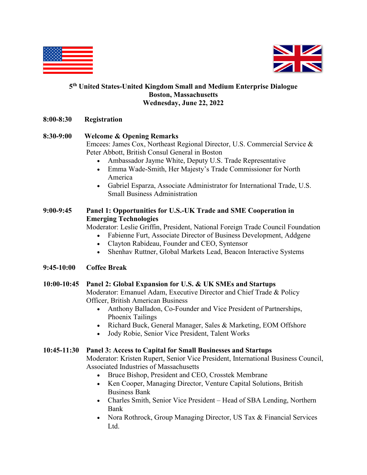



#### **5th United States-United Kingdom Small and Medium Enterprise Dialogue Boston, Massachusetts Wednesday, June 22, 2022**

**8:00-8:30 Registration** 

### **8:30-9:00 Welcome & Opening Remarks**

Emcees: James Cox, Northeast Regional Director, U.S. Commercial Service & Peter Abbott, British Consul General in Boston

- Ambassador Jayme White, Deputy U.S. Trade Representative
- Emma Wade-Smith, Her Majesty's Trade Commissioner for North America
- Gabriel Esparza, Associate Administrator for International Trade, U.S. Small Business Administration

# **9:00-9:45 Panel 1: Opportunities for U.S.-UK Trade and SME Cooperation in Emerging Technologies**

Moderator: Leslie Griffin, President, National Foreign Trade Council Foundation

- Fabienne Furt, Associate Director of Business Development, Addgene
- Clayton Rabideau, Founder and CEO, Syntensor
- Shenhav Ruttner, Global Markets Lead, Beacon Interactive Systems

#### **9:45-10:00 Coffee Break**

#### **10:00-10:45 Panel 2: Global Expansion for U.S. & UK SMEs and Startups**

Moderator: Emanuel Adam, Executive Director and Chief Trade & Policy Officer, British American Business

- Anthony Balladon, Co-Founder and Vice President of Partnerships, Phoenix Tailings
- Richard Buck, General Manager, Sales & Marketing, EOM Offshore
- Jody Robie, Senior Vice President, Talent Works

#### **10:45-11:30 Panel 3: Access to Capital for Small Businesses and Startups**

Moderator: Kristen Rupert, Senior Vice President, International Business Council, Associated Industries of Massachusetts

- Bruce Bishop, President and CEO, Crosstek Membrane
- Ken Cooper, Managing Director, Venture Capital Solutions, British Business Bank
- Charles Smith, Senior Vice President Head of SBA Lending, Northern Bank
- Nora Rothrock, Group Managing Director, US Tax & Financial Services Ltd.